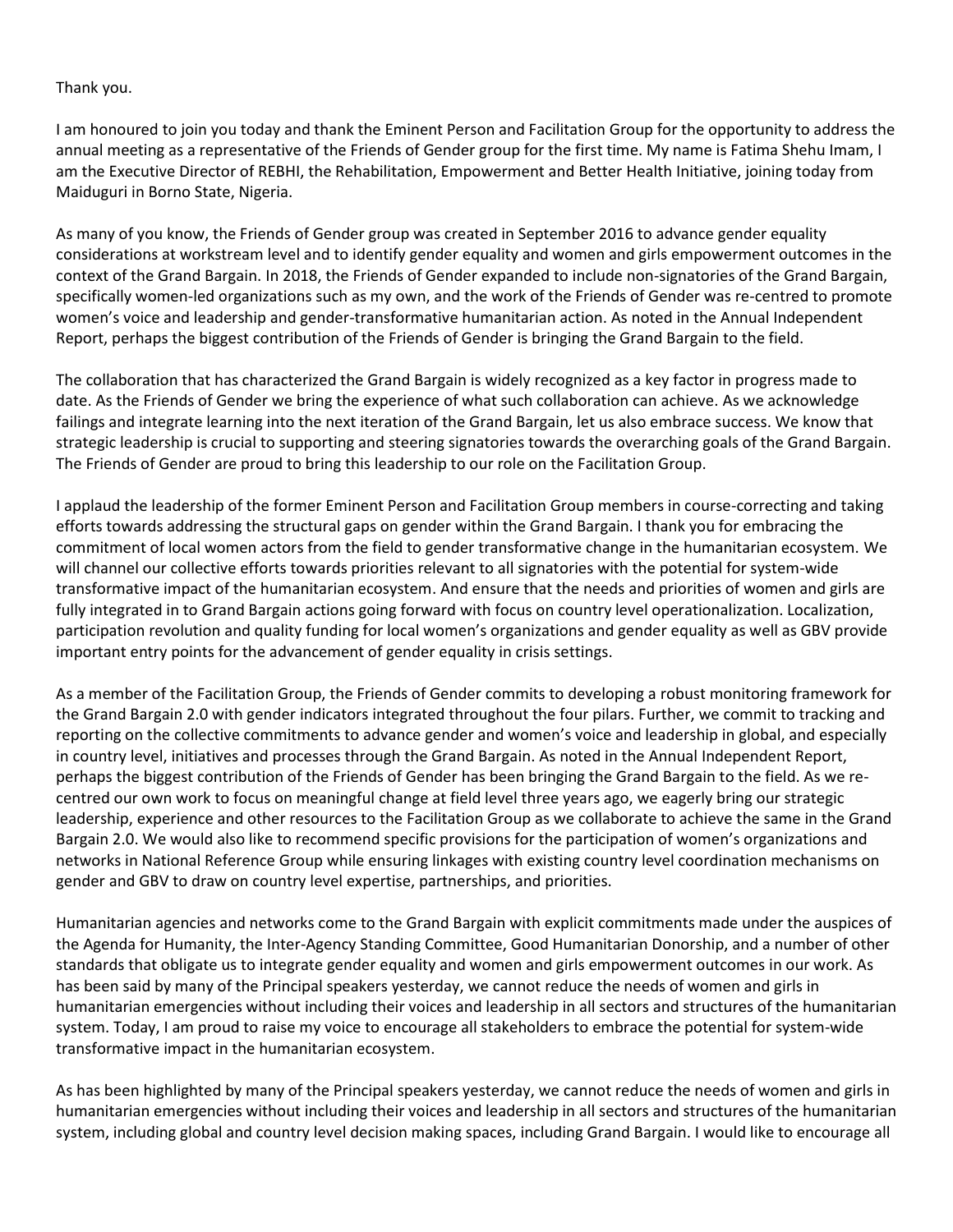## Thank you.

I am honoured to join you today and thank the Eminent Person and Facilitation Group for the opportunity to address the annual meeting as a representative of the Friends of Gender group for the first time. My name is Fatima Shehu Imam, I am the Executive Director of REBHI, the Rehabilitation, Empowerment and Better Health Initiative, joining today from Maiduguri in Borno State, Nigeria.

As many of you know, the Friends of Gender group was created in September 2016 to advance gender equality considerations at workstream level and to identify gender equality and women and girls empowerment outcomes in the context of the Grand Bargain. In 2018, the Friends of Gender expanded to include non-signatories of the Grand Bargain, specifically women-led organizations such as my own, and the work of the Friends of Gender was re-centred to promote women's voice and leadership and gender-transformative humanitarian action. As noted in the Annual Independent Report, perhaps the biggest contribution of the Friends of Gender is bringing the Grand Bargain to the field.

The collaboration that has characterized the Grand Bargain is widely recognized as a key factor in progress made to date. As the Friends of Gender we bring the experience of what such collaboration can achieve. As we acknowledge failings and integrate learning into the next iteration of the Grand Bargain, let us also embrace success. We know that strategic leadership is crucial to supporting and steering signatories towards the overarching goals of the Grand Bargain. The Friends of Gender are proud to bring this leadership to our role on the Facilitation Group.

I applaud the leadership of the former Eminent Person and Facilitation Group members in course-correcting and taking efforts towards addressing the structural gaps on gender within the Grand Bargain. I thank you for embracing the commitment of local women actors from the field to gender transformative change in the humanitarian ecosystem. We will channel our collective efforts towards priorities relevant to all signatories with the potential for system-wide transformative impact of the humanitarian ecosystem. And ensure that the needs and priorities of women and girls are fully integrated in to Grand Bargain actions going forward with focus on country level operationalization. Localization, participation revolution and quality funding for local women's organizations and gender equality as well as GBV provide important entry points for the advancement of gender equality in crisis settings.

As a member of the Facilitation Group, the Friends of Gender commits to developing a robust monitoring framework for the Grand Bargain 2.0 with gender indicators integrated throughout the four pilars. Further, we commit to tracking and reporting on the collective commitments to advance gender and women's voice and leadership in global, and especially in country level, initiatives and processes through the Grand Bargain. As noted in the Annual Independent Report, perhaps the biggest contribution of the Friends of Gender has been bringing the Grand Bargain to the field. As we recentred our own work to focus on meaningful change at field level three years ago, we eagerly bring our strategic leadership, experience and other resources to the Facilitation Group as we collaborate to achieve the same in the Grand Bargain 2.0. We would also like to recommend specific provisions for the participation of women's organizations and networks in National Reference Group while ensuring linkages with existing country level coordination mechanisms on gender and GBV to draw on country level expertise, partnerships, and priorities.

Humanitarian agencies and networks come to the Grand Bargain with explicit commitments made under the auspices of the Agenda for Humanity, the Inter-Agency Standing Committee, Good Humanitarian Donorship, and a number of other standards that obligate us to integrate gender equality and women and girls empowerment outcomes in our work. As has been said by many of the Principal speakers yesterday, we cannot reduce the needs of women and girls in humanitarian emergencies without including their voices and leadership in all sectors and structures of the humanitarian system. Today, I am proud to raise my voice to encourage all stakeholders to embrace the potential for system-wide transformative impact in the humanitarian ecosystem.

As has been highlighted by many of the Principal speakers yesterday, we cannot reduce the needs of women and girls in humanitarian emergencies without including their voices and leadership in all sectors and structures of the humanitarian system, including global and country level decision making spaces, including Grand Bargain. I would like to encourage all